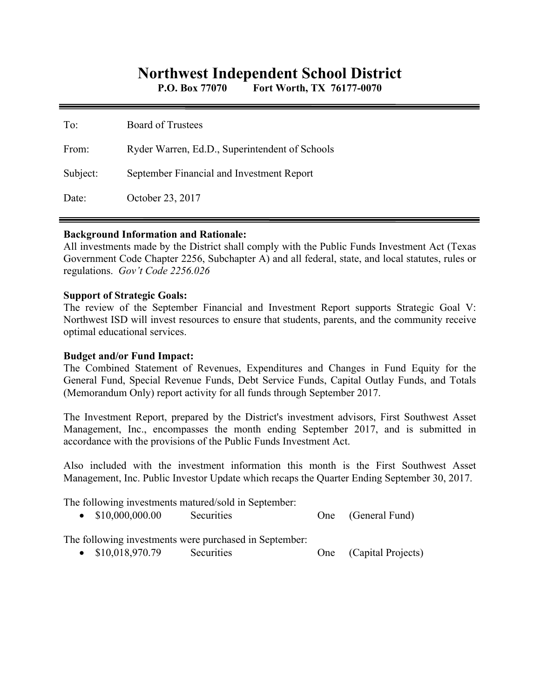# **Northwest Independent School District**

**P.O. Box 77070 Fort Worth, TX 76177-0070** 

| To:      | <b>Board of Trustees</b>                       |
|----------|------------------------------------------------|
| From:    | Ryder Warren, Ed.D., Superintendent of Schools |
| Subject: | September Financial and Investment Report      |
| Date:    | October 23, 2017                               |

#### **Background Information and Rationale:**

All investments made by the District shall comply with the Public Funds Investment Act (Texas Government Code Chapter 2256, Subchapter A) and all federal, state, and local statutes, rules or regulations. *Gov't Code 2256.026* 

#### **Support of Strategic Goals:**

The review of the September Financial and Investment Report supports Strategic Goal V: Northwest ISD will invest resources to ensure that students, parents, and the community receive optimal educational services.

### **Budget and/or Fund Impact:**

The Combined Statement of Revenues, Expenditures and Changes in Fund Equity for the General Fund, Special Revenue Funds, Debt Service Funds, Capital Outlay Funds, and Totals (Memorandum Only) report activity for all funds through September 2017.

The Investment Report, prepared by the District's investment advisors, First Southwest Asset Management, Inc., encompasses the month ending September 2017, and is submitted in accordance with the provisions of the Public Funds Investment Act.

Also included with the investment information this month is the First Southwest Asset Management, Inc. Public Investor Update which recaps the Quarter Ending September 30, 2017.

The following investments matured/sold in September:

|  | \$10,000,000.00 | Securities |  | (General Fund) |
|--|-----------------|------------|--|----------------|
|--|-----------------|------------|--|----------------|

The following investments were purchased in September:

• \$10,018,970.79 Securities One (Capital Projects)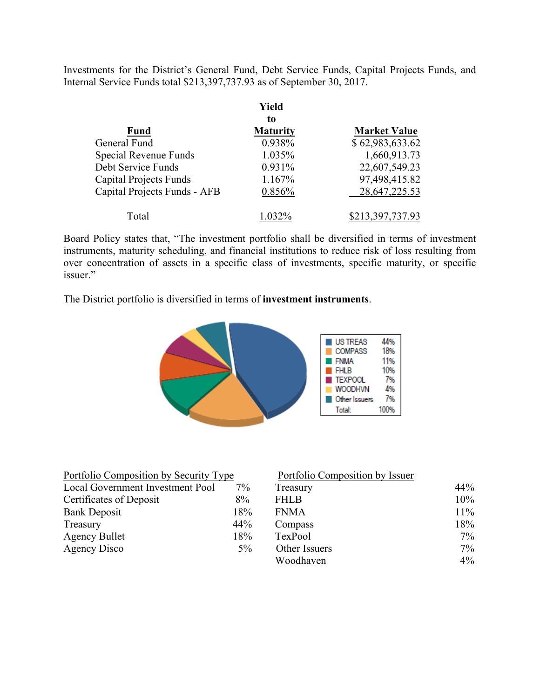Investments for the District's General Fund, Debt Service Funds, Capital Projects Funds, and Internal Service Funds total \$213,397,737.93 as of September 30, 2017.

|                               | Yield           |                     |
|-------------------------------|-----------------|---------------------|
|                               | to              |                     |
| <b>Fund</b>                   | <b>Maturity</b> | <b>Market Value</b> |
| General Fund                  | 0.938%          | \$62,983,633.62     |
| Special Revenue Funds         | 1.035%          | 1,660,913.73        |
| Debt Service Funds            | 0.931%          | 22,607,549.23       |
| <b>Capital Projects Funds</b> | 1.167%          | 97,498,415.82       |
| Capital Projects Funds - AFB  | 0.856%          | 28, 647, 225. 53    |
| Total                         | 1.032%          | \$213,397,737.93    |

Board Policy states that, "The investment portfolio shall be diversified in terms of investment instruments, maturity scheduling, and financial institutions to reduce risk of loss resulting from over concentration of assets in a specific class of investments, specific maturity, or specific issuer."

The District portfolio is diversified in terms of **investment instruments**.



| Portfolio Composition by Security Type |       | Portfolio Composition by Issuer |            |
|----------------------------------------|-------|---------------------------------|------------|
| Local Government Investment Pool       | $7\%$ | Treasury                        | 44%        |
| Certificates of Deposit                | 8%    | <b>FHLB</b>                     | 10%        |
| <b>Bank Deposit</b>                    | 18%   | <b>FNMA</b>                     | $11\%$     |
| Treasury                               | 44%   | Compass                         | 18%        |
| <b>Agency Bullet</b>                   | 18%   | TexPool                         | $7\%$      |
| Agency Disco                           | $5\%$ | Other Issuers                   | $7\%$      |
|                                        |       | <b>TTT 11</b>                   | $\sqrt{2}$ |

| Portfolio Composition by Security Type |       | Portfolio Composition by Issuer |        |
|----------------------------------------|-------|---------------------------------|--------|
| Local Government Investment Pool       | 7%    | Treasury                        | 44%    |
| Certificates of Deposit                | 8%    | <b>FHLB</b>                     | $10\%$ |
| <b>Bank Deposit</b>                    | 18%   | <b>FNMA</b>                     | $11\%$ |
| Treasury                               | 44%   | Compass                         | 18%    |
| Agency Bullet                          | 18%   | TexPool                         | $7\%$  |
| Agency Disco                           | $5\%$ | Other Issuers                   | $7\%$  |
|                                        |       | Woodhaven                       | $4\%$  |
|                                        |       |                                 |        |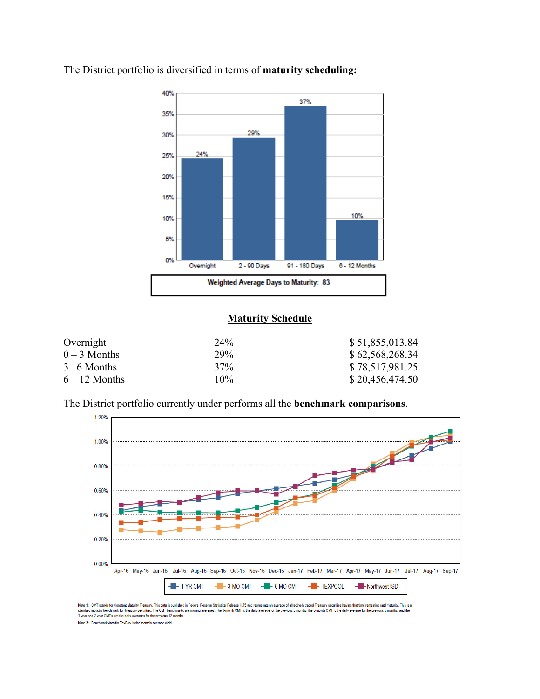

The District portfolio is diversified in terms of **maturity scheduling:** 

## **Maturity Schedule**

| Overnight       | 24 <sup>%</sup> | \$51,855,013.84 |
|-----------------|-----------------|-----------------|
| $0-3$ Months    | 29%             | \$62,568,268.34 |
| $3 - 6$ Months  | 37%             | \$78,517,981.25 |
| $6 - 12$ Months | 10%             | \$20,456,474.50 |

The District portfolio currently under performs all the **benchmark comparisons**.



Note 1: CMT stands for Constant Maturity Treasury. This data is published in Federal Resene Statistical Release 1.15 and represents an average of all actively traded Treasury securities having that time remaining until mat

Note 2: Benchmark data for TexPool is the monthly average yield.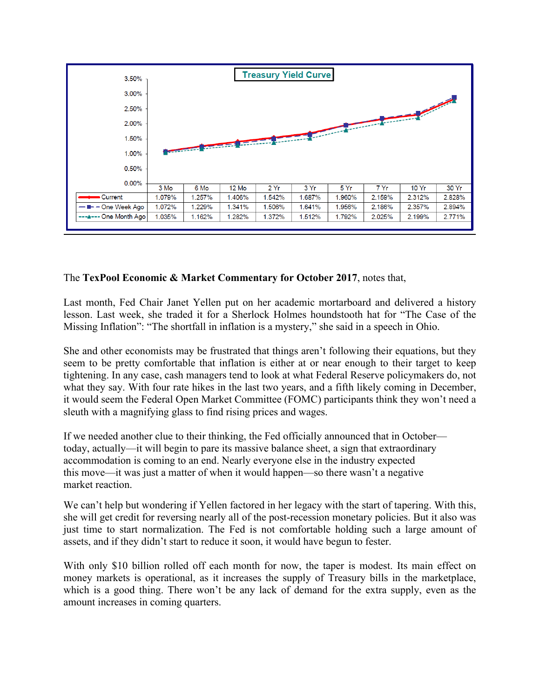

### The **TexPool Economic & Market Commentary for October 2017**, notes that,

Last month, Fed Chair Janet Yellen put on her academic mortarboard and delivered a history lesson. Last week, she traded it for a Sherlock Holmes houndstooth hat for "The Case of the Missing Inflation": "The shortfall in inflation is a mystery," she said in a speech in Ohio.

She and other economists may be frustrated that things aren't following their equations, but they seem to be pretty comfortable that inflation is either at or near enough to their target to keep tightening. In any case, cash managers tend to look at what Federal Reserve policymakers do, not what they say. With four rate hikes in the last two years, and a fifth likely coming in December, it would seem the Federal Open Market Committee (FOMC) participants think they won't need a sleuth with a magnifying glass to find rising prices and wages.

If we needed another clue to their thinking, the Fed officially announced that in October today, actually—it will begin to pare its massive balance sheet, a sign that extraordinary accommodation is coming to an end. Nearly everyone else in the industry expected this move—it was just a matter of when it would happen—so there wasn't a negative market reaction.

We can't help but wondering if Yellen factored in her legacy with the start of tapering. With this, she will get credit for reversing nearly all of the post-recession monetary policies. But it also was just time to start normalization. The Fed is not comfortable holding such a large amount of assets, and if they didn't start to reduce it soon, it would have begun to fester.

With only \$10 billion rolled off each month for now, the taper is modest. Its main effect on money markets is operational, as it increases the supply of Treasury bills in the marketplace, which is a good thing. There won't be any lack of demand for the extra supply, even as the amount increases in coming quarters.